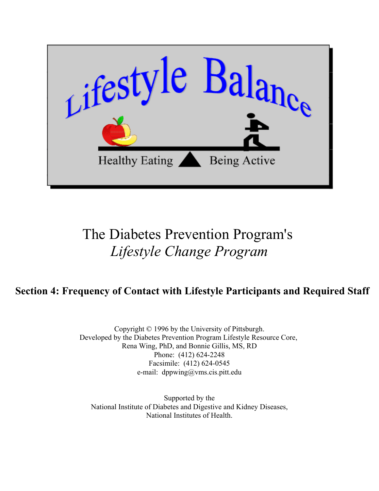

## The Diabetes Prevention Program's *Lifestyle Change Program*

## **Section 4: Frequency of Contact with Lifestyle Participants and Required Staff**

Copyright © 1996 by the University of Pittsburgh. Developed by the Diabetes Prevention Program Lifestyle Resource Core, Rena Wing, PhD, and Bonnie Gillis, MS, RD Phone: (412) 624-2248 Facsimile: (412) 624-0545 e-mail: dppwing@vms.cis.pitt.edu

Supported by the [National Institute of Diabetes and Digestive and Kidney Diseases,](http://www.niddk.nih.gov) [National Institutes of Health.](http://www.nih.gov)